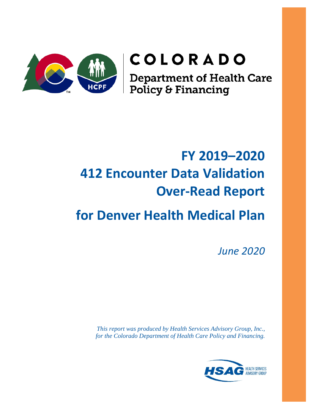

# COLORADO

**Department of Health Care<br>Policy & Financing** 

# **FY 2019–2020 412 Encounter Data Validation Over-Read Report**

# **for Denver Health Medical Plan**

*June 2020*

*This report was produced by Health Services Advisory Group, Inc., for the Colorado Department of Health Care Policy and Financing.*

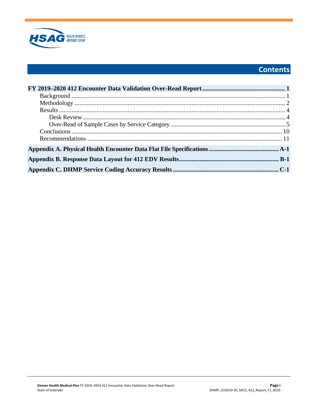

# **Contents**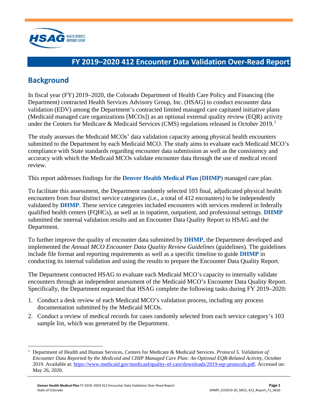

# <span id="page-2-0"></span>**FY 2019–2020 412 Encounter Data Validation Over-Read Report**

# <span id="page-2-1"></span>**Background**

In fiscal year (FY) 2019–2020, the Colorado Department of Health Care Policy and Financing (the Department) contracted Health Services Advisory Group, Inc. (HSAG) to conduct encounter data validation (EDV) among the Department's contracted limited managed care capitated initiative plans (Medicaid managed care organizations [MCOs]) as an optional external quality review (EQR) activity under the Centers for Medicare & Medicaid Services (CMS) regulations released in October 20[1](#page-2-2)9.<sup>1</sup>

The study assesses the Medicaid MCOs' data validation capacity among physical health encounters submitted to the Department by each Medicaid MCO. The study aims to evaluate each Medicaid MCO's compliance with State standards regarding encounter data submission as well as the consistency and accuracy with which the Medicaid MCOs validate encounter data through the use of medical record review.

This report addresses findings for the **Denver Health Medical Plan** (**DHMP**) managed care plan.

To facilitate this assessment, the Department randomly selected 103 final, adjudicated physical health encounters from four distinct service categories (i.e., a total of 412 encounters) to be independently validated by **DHMP**. These service categories included encounters with services rendered in federally qualified health centers (FQHCs), as well as in inpatient, outpatient, and professional settings. **DHMP** submitted the internal validation results and an Encounter Data Quality Report to HSAG and the Department.

To further improve the quality of encounter data submitted by **DHMP**, the Department developed and implemented the *Annual MCO Encounter Data Quality Review Guidelines* (guidelines). The guidelines include file format and reporting requirements as well as a specific timeline to guide **DHMP** in conducting its internal validation and using the results to prepare the Encounter Data Quality Report.

The Department contracted HSAG to evaluate each Medicaid MCO's capacity to internally validate encounters through an independent assessment of the Medicaid MCO's Encounter Data Quality Report. Specifically, the Department requested that HSAG complete the following tasks during FY 2019–2020:

- 1. Conduct a desk review of each Medicaid MCO's validation process, including any process documentation submitted by the Medicaid MCOs.
- 2. Conduct a review of medical records for cases randomly selected from each service category's 103 sample list, which was generated by the Department.

<span id="page-2-2"></span><sup>1</sup> Department of Health and Human Services, Centers for Medicare & Medicaid Services. *Protocol 5. Validation of Encounter Data Reported by the Medicaid and CHIP Managed Care Plan: An Optional EQR-Related Activity*, October 2019. Available at: [https://www.medicaid.gov/medicaid/quality-of-care/downloads/2019-eqr-protocols.pdf.](https://www.medicaid.gov/medicaid/quality-of-care/downloads/2019-eqr-protocols.pdf) Accessed on: May 26, 2020.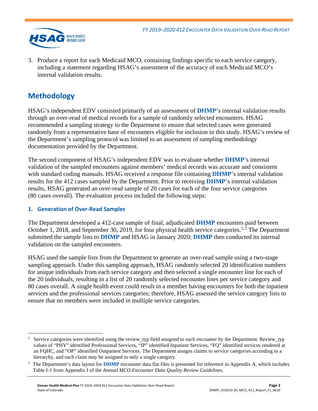

3. Produce a report for each Medicaid MCO, containing findings specific to each service category, including a statement regarding HSAG's assessment of the accuracy of each Medicaid MCO's internal validation results.

# <span id="page-3-0"></span>**Methodology**

HSAG's independent EDV consisted primarily of an assessment of **DHMP**'s internal validation results through an over-read of medical records for a sample of randomly selected encounters. HSAG recommended a sampling strategy to the Department to ensure that selected cases were generated randomly from a representative base of encounters eligible for inclusion in this study. HSAG's review of the Department's sampling protocol was limited to an assessment of sampling methodology documentation provided by the Department.

The second component of HSAG's independent EDV was to evaluate whether **DHMP**'s internal validation of the sampled encounters against members' medical records was accurate and consistent with standard coding manuals. HSAG received a response file containing **DHMP**'s internal validation results for the 412 cases sampled by the Department. Prior to receiving **DHMP**'s internal validation results, HSAG generated an over-read sample of 20 cases for each of the four service categories (80 cases overall). The evaluation process included the following steps:

## **1. Generation of Over-Read Samples**

The Department developed a 412-case sample of final, adjudicated **DHMP** encounters paid between October 1, 2018, and September 30, 2019, for four physical health service categories.<sup>[2,](#page-3-1)[3](#page-3-2)</sup> The Department submitted the sample lists to **DHMP** and HSAG in January 2020; **DHMP** then conducted its internal validation on the sampled encounters.

HSAG used the sample lists from the Department to generate an over-read sample using a two-stage sampling approach. Under this sampling approach, HSAG randomly selected 20 identification numbers for unique individuals from each service category and then selected a single encounter line for each of the 20 individuals, resulting in a list of 20 randomly selected encounter lines per service category and 80 cases overall. A single health event could result in a member having encounters for both the inpatient services and the professional services categories; therefore, HSAG assessed the service category lists to ensure that no members were included in multiple service categories.

<span id="page-3-1"></span><sup>2</sup> Service categories were identified using the review\_typ field assigned to each encounter by the Department. Review\_typ values of "PHY" identified Professional Services, "IP" identified Inpatient Services, "FQ" identified services rendered at an FQHC, and "OP" identified Outpatient Services. The Department assigns claims to service categories according to a hierarchy, and each claim may be assigned to only a single category.

<span id="page-3-2"></span>The Department's data layout for **DHMP** encounter data flat files is presented for reference in [Appendix A,](#page-14-1) which includes Table I-1 from Appendix I of the *Annual MCO Encounter Data Quality Review Guidelines*.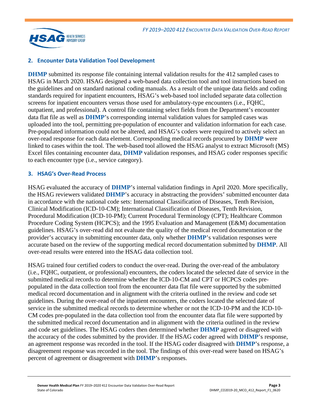

## **2. Encounter Data Validation Tool Development**

**DHMP** submitted its response file containing internal validation results for the 412 sampled cases to HSAG in March 2020. HSAG designed a web-based data collection tool and tool instructions based on the guidelines and on standard national coding manuals. As a result of the unique data fields and coding standards required for inpatient encounters, HSAG's web-based tool included separate data collection screens for inpatient encounters versus those used for ambulatory-type encounters (i.e., FQHC, outpatient, and professional). A control file containing select fields from the Department's encounter data flat file as well as **DHMP**'s corresponding internal validation values for sampled cases was uploaded into the tool, permitting pre-population of encounter and validation information for each case. Pre-populated information could not be altered, and HSAG's coders were required to actively select an over-read response for each data element. Corresponding medical records procured by **DHMP** were linked to cases within the tool. The web-based tool allowed the HSAG analyst to extract Microsoft (MS) Excel files containing encounter data, **DHMP** validation responses, and HSAG coder responses specific to each encounter type (i.e., service category).

#### **3. HSAG's Over-Read Process**

HSAG evaluated the accuracy of **DHMP**'s internal validation findings in April 2020. More specifically, the HSAG reviewers validated **DHMP**'s accuracy in abstracting the providers' submitted encounter data in accordance with the national code sets: International Classification of Diseases, Tenth Revision, Clinical Modification (ICD-10-CM); International Classification of Diseases, Tenth Revision, Procedural Modification (ICD-10-PM); Current Procedural Terminology (CPT); Healthcare Common Procedure Coding System (HCPCS); and the 1995 Evaluation and Management (E&M) documentation guidelines. HSAG's over-read did not evaluate the quality of the medical record documentation or the provider's accuracy in submitting encounter data, only whether **DHMP**'s validation responses were accurate based on the review of the supporting medical record documentation submitted by **DHMP**. All over-read results were entered into the HSAG data collection tool.

HSAG trained four certified coders to conduct the over-read. During the over-read of the ambulatory (i.e., FQHC, outpatient, or professional) encounters, the coders located the selected date of service in the submitted medical records to determine whether the ICD-10-CM and CPT or HCPCS codes prepopulated in the data collection tool from the encounter data flat file were supported by the submitted medical record documentation and in alignment with the criteria outlined in the review and code set guidelines. During the over-read of the inpatient encounters, the coders located the selected date of service in the submitted medical records to determine whether or not the ICD-10-PM and the ICD-10- CM codes pre-populated in the data collection tool from the encounter data flat file were supported by the submitted medical record documentation and in alignment with the criteria outlined in the review and code set guidelines. The HSAG coders then determined whether **DHMP** agreed or disagreed with the accuracy of the codes submitted by the provider. If the HSAG coder agreed with **DHMP**'s response, an agreement response was recorded in the tool. If the HSAG coder disagreed with **DHMP**'s response, a disagreement response was recorded in the tool. The findings of this over-read were based on HSAG's percent of agreement or disagreement with **DHMP**'s responses.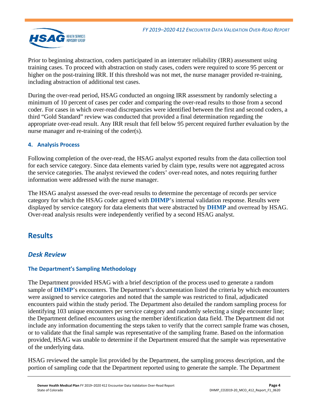

Prior to beginning abstraction, coders participated in an interrater reliability (IRR) assessment using training cases. To proceed with abstraction on study cases, coders were required to score 95 percent or higher on the post-training IRR. If this threshold was not met, the nurse manager provided re-training, including abstraction of additional test cases.

During the over-read period, HSAG conducted an ongoing IRR assessment by randomly selecting a minimum of 10 percent of cases per coder and comparing the over-read results to those from a second coder. For cases in which over-read discrepancies were identified between the first and second coders, a third "Gold Standard" review was conducted that provided a final determination regarding the appropriate over-read result. Any IRR result that fell below 95 percent required further evaluation by the nurse manager and re-training of the coder(s).

## **4. Analysis Process**

Following completion of the over-read, the HSAG analyst exported results from the data collection tool for each service category. Since data elements varied by claim type, results were not aggregated across the service categories. The analyst reviewed the coders' over-read notes, and notes requiring further information were addressed with the nurse manager.

The HSAG analyst assessed the over-read results to determine the percentage of records per service category for which the HSAG coder agreed with **DHMP**'s internal validation response. Results were displayed by service category for data elements that were abstracted by **DHMP** and overread by HSAG. Over-read analysis results were independently verified by a second HSAG analyst.

# <span id="page-5-0"></span>**Results**

## <span id="page-5-1"></span>*Desk Review*

## **The Department's Sampling Methodology**

The Department provided HSAG with a brief description of the process used to generate a random sample of **DHMP**'s encounters. The Department's documentation listed the criteria by which encounters were assigned to service categories and noted that the sample was restricted to final, adjudicated encounters paid within the study period. The Department also detailed the random sampling process for identifying 103 unique encounters per service category and randomly selecting a single encounter line; the Department defined encounters using the member identification data field. The Department did not include any information documenting the steps taken to verify that the correct sample frame was chosen, or to validate that the final sample was representative of the sampling frame. Based on the information provided, HSAG was unable to determine if the Department ensured that the sample was representative of the underlying data.

HSAG reviewed the sample list provided by the Department, the sampling process description, and the portion of sampling code that the Department reported using to generate the sample. The Department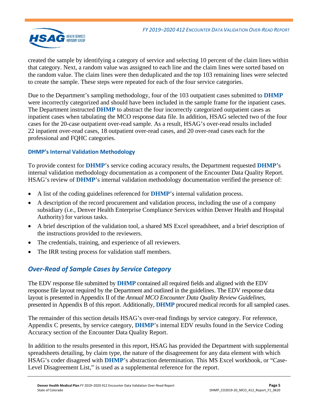

created the sample by identifying a category of service and selecting 10 percent of the claim lines within that category. Next, a random value was assigned to each line and the claim lines were sorted based on the random value. The claim lines were then deduplicated and the top 103 remaining lines were selected to create the sample. These steps were repeated for each of the four service categories.

Due to the Department's sampling methodology, four of the 103 outpatient cases submitted to **DHMP** were incorrectly categorized and should have been included in the sample frame for the inpatient cases. The Department instructed **DHMP** to abstract the four incorrectly categorized outpatient cases as inpatient cases when tabulating the MCO response data file. In addition, HSAG selected two of the four cases for the 20-case outpatient over-read sample. As a result, HSAG's over-read results included 22 inpatient over-read cases, 18 outpatient over-read cases, and 20 over-read cases each for the professional and FQHC categories.

## **DHMP's Internal Validation Methodology**

To provide context for **DHMP**'s service coding accuracy results, the Department requested **DHMP**'s internal validation methodology documentation as a component of the Encounter Data Quality Report. HSAG's review of **DHMP**'s internal validation methodology documentation verified the presence of:

- A list of the coding guidelines referenced for **DHMP**'s internal validation process.
- A description of the record procurement and validation process, including the use of a company subsidiary (i.e., Denver Health Enterprise Compliance Services within Denver Health and Hospital Authority) for various tasks.
- A brief description of the validation tool, a shared MS Excel spreadsheet, and a brief description of the instructions provided to the reviewers.
- The credentials, training, and experience of all reviewers.
- <span id="page-6-0"></span>The IRR testing process for validation staff members.

## *Over-Read of Sample Cases by Service Category*

The EDV response file submitted by **DHMP** contained all required fields and aligned with the EDV response file layout required by the Department and outlined in the guidelines. The EDV response data layout is presented in Appendix II of the *Annual MCO Encounter Data Quality Review Guidelines*, presented in [Appendix B](#page-17-1) of this report. Additionally, **DHMP** procured medical records for all sampled cases.

The remainder of this section details HSAG's over-read findings by service category. For reference, [Appendix C](#page-23-1) presents, by service category, **DHMP**'s internal EDV results found in the Service Coding Accuracy section of the Encounter Data Quality Report.

In addition to the results presented in this report, HSAG has provided the Department with supplemental spreadsheets detailing, by claim type, the nature of the disagreement for any data element with which HSAG's coder disagreed with **DHMP**'s abstraction determination. This MS Excel workbook, or "Case-Level Disagreement List," is used as a supplemental reference for the report.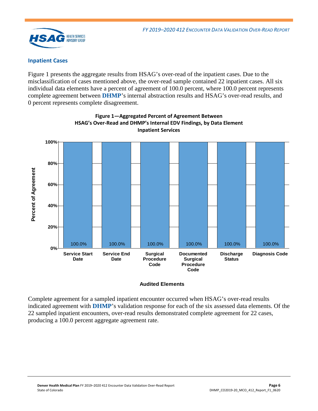

#### **Inpatient Cases**

[Figure 1](#page-7-0) presents the aggregate results from HSAG's over-read of the inpatient cases. Due to the misclassification of cases mentioned above, the over-read sample contained 22 inpatient cases. All six individual data elements have a percent of agreement of 100.0 percent, where 100.0 percent represents complete agreement between **DHMP**'s internal abstraction results and HSAG's over-read results, and 0 percent represents complete disagreement.

<span id="page-7-0"></span>

**Figure 1—Aggregated Percent of Agreement Between HSAG's Over-Read and DHMP's Internal EDV Findings, by Data Element Inpatient Services**

#### **Audited Elements**

Complete agreement for a sampled inpatient encounter occurred when HSAG's over-read results indicated agreement with **DHMP**'s validation response for each of the six assessed data elements. Of the 22 sampled inpatient encounters, over-read results demonstrated complete agreement for 22 cases, producing a 100.0 percent aggregate agreement rate.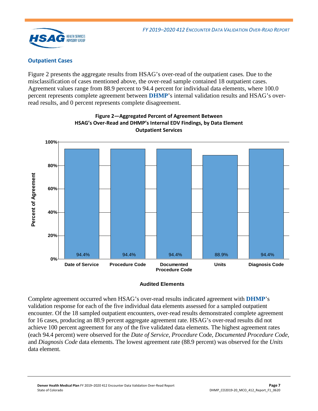

## **Outpatient Cases**

[Figure 2](#page-8-0) presents the aggregate results from HSAG's over-read of the outpatient cases. Due to the misclassification of cases mentioned above, the over-read sample contained 18 outpatient cases. Agreement values range from 88.9 percent to 94.4 percent for individual data elements, where 100.0 percent represents complete agreement between **DHMP**'s internal validation results and HSAG's overread results, and 0 percent represents complete disagreement.

<span id="page-8-0"></span>

**Figure 2—Aggregated Percent of Agreement Between HSAG's Over-Read and DHMP's Internal EDV Findings, by Data Element Outpatient Services**

#### **Audited Elements**

Complete agreement occurred when HSAG's over-read results indicated agreement with **DHMP**'s validation response for each of the five individual data elements assessed for a sampled outpatient encounter. Of the 18 sampled outpatient encounters, over-read results demonstrated complete agreement for 16 cases, producing an 88.9 percent aggregate agreement rate. HSAG's over-read results did not achieve 100 percent agreement for any of the five validated data elements. The highest agreement rates (each 94.4 percent) were observed for the *Date of Service*, *Procedure* Code, *Documented Procedure Code*, and *Diagnosis Code* data elements. The lowest agreement rate (88.9 percent) was observed for the *Units* data element.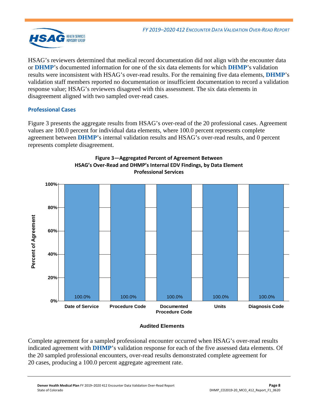

HSAG's reviewers determined that medical record documentation did not align with the encounter data or **DHMP**'s documented information for one of the six data elements for which **DHMP**'s validation results were inconsistent with HSAG's over-read results. For the remaining five data elements, **DHMP**'s validation staff members reported no documentation or insufficient documentation to record a validation response value; HSAG's reviewers disagreed with this assessment. The six data elements in disagreement aligned with two sampled over-read cases.

## **Professional Cases**

[Figure 3](#page-9-0) presents the aggregate results from HSAG's over-read of the 20 professional cases. Agreement values are 100.0 percent for individual data elements, where 100.0 percent represents complete agreement between **DHMP**'s internal validation results and HSAG's over-read results, and 0 percent represents complete disagreement.

<span id="page-9-0"></span>

## **Figure 3—Aggregated Percent of Agreement Between HSAG's Over-Read and DHMP's Internal EDV Findings, by Data Element Professional Services**

## **Audited Elements**

Complete agreement for a sampled professional encounter occurred when HSAG's over-read results indicated agreement with **DHMP**'s validation response for each of the five assessed data elements. Of the 20 sampled professional encounters, over-read results demonstrated complete agreement for 20 cases, producing a 100.0 percent aggregate agreement rate.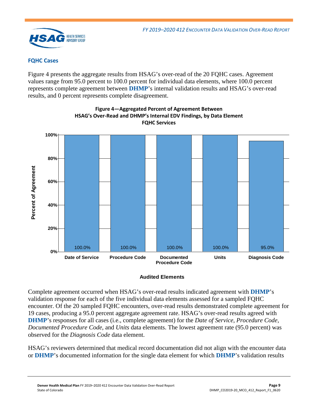

## **FQHC Cases**

[Figure 4](#page-10-0) presents the aggregate results from HSAG's over-read of the 20 FQHC cases. Agreement values range from 95.0 percent to 100.0 percent for individual data elements, where 100.0 percent represents complete agreement between **DHMP**'s internal validation results and HSAG's over-read results, and 0 percent represents complete disagreement.

<span id="page-10-0"></span>

**Figure 4—Aggregated Percent of Agreement Between HSAG's Over-Read and DHMP's Internal EDV Findings, by Data Element FQHC Services**

#### **Audited Elements**

Complete agreement occurred when HSAG's over-read results indicated agreement with **DHMP**'s validation response for each of the five individual data elements assessed for a sampled FQHC encounter. Of the 20 sampled FQHC encounters, over-read results demonstrated complete agreement for 19 cases, producing a 95.0 percent aggregate agreement rate. HSAG's over-read results agreed with **DHMP**'s responses for all cases (i.e., complete agreement) for the *Date of Service*, *Procedure Code*, *Documented Procedure Code*, and *Units* data elements. The lowest agreement rate (95.0 percent) was observed for the *Diagnosis Code* data element.

HSAG's reviewers determined that medical record documentation did not align with the encounter data or **DHMP**'s documented information for the single data element for which **DHMP**'s validation results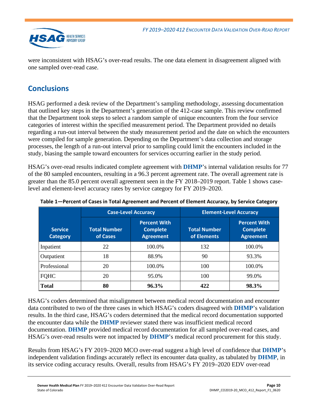

were inconsistent with HSAG's over-read results. The one data element in disagreement aligned with one sampled over-read case.

# <span id="page-11-0"></span>**Conclusions**

HSAG performed a desk review of the Department's sampling methodology, assessing documentation that outlined key steps in the Department's generation of the 412-case sample. This review confirmed that the Department took steps to select a random sample of unique encounters from the four service categories of interest within the specified measurement period. The Department provided no details regarding a run-out interval between the study measurement period and the date on which the encounters were compiled for sample generation. Depending on the Department's data collection and storage processes, the length of a run-out interval prior to sampling could limit the encounters included in the study, biasing the sample toward encounters for services occurring earlier in the study period.

HSAG's over-read results indicated complete agreement with **DHMP**'s internal validation results for 77 of the 80 sampled encounters, resulting in a 96.3 percent agreement rate. The overall agreement rate is greater than the 85.0 percent overall agreement seen in the FY 2018–2019 report. [Table 1](#page-11-1) shows caselevel and element-level accuracy rates by service category for FY 2019–2020.

|                                   |                                 | <b>Case-Level Accuracy</b>                                 | <b>Element-Level Accuracy</b>      |                                                            |  |
|-----------------------------------|---------------------------------|------------------------------------------------------------|------------------------------------|------------------------------------------------------------|--|
| <b>Service</b><br><b>Category</b> | <b>Total Number</b><br>of Cases | <b>Percent With</b><br><b>Complete</b><br><b>Agreement</b> | <b>Total Number</b><br>of Elements | <b>Percent With</b><br><b>Complete</b><br><b>Agreement</b> |  |
| Inpatient                         | 22                              | 100.0%                                                     | 132                                | 100.0%                                                     |  |
| Outpatient                        | 18                              | 88.9%                                                      | 90                                 | 93.3%                                                      |  |
| Professional                      | 20                              | 100.0%                                                     | 100                                | 100.0%                                                     |  |
| FQHC                              | 20                              | 95.0%                                                      | 100                                | 99.0%                                                      |  |
| <b>Total</b>                      | 80                              | 96.3%                                                      | 422                                | 98.3%                                                      |  |

<span id="page-11-1"></span>**Table 1—Percent of Cases in Total Agreement and Percent of Element Accuracy, by Service Category**

HSAG's coders determined that misalignment between medical record documentation and encounter data contributed to two of the three cases in which HSAG's coders disagreed with **DHMP**'s validation results. In the third case, HSAG's coders determined that the medical record documentation supported the encounter data while the **DHMP** reviewer stated there was insufficient medical record documentation. **DHMP** provided medical record documentation for all sampled over-read cases, and HSAG's over-read results were not impacted by **DHMP**'s medical record procurement for this study.

Results from HSAG's FY 2019–2020 MCO over-read suggest a high level of confidence that **DHMP**'s independent validation findings accurately reflect its encounter data quality, as tabulated by **DHMP**, in its service coding accuracy results. Overall, results from HSAG's FY 2019–2020 EDV over-read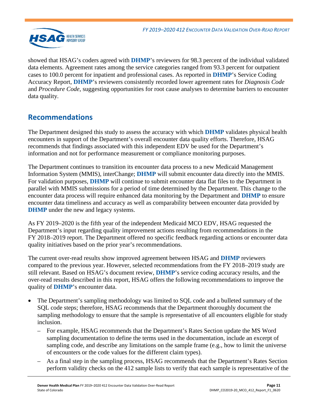

showed that HSAG's coders agreed with **DHMP**'s reviewers for 98.3 percent of the individual validated data elements. Agreement rates among the service categories ranged from 93.3 percent for outpatient cases to 100.0 percent for inpatient and professional cases. As reported in **DHMP**'s Service Coding Accuracy Report, **DHMP**'s reviewers consistently recorded lower agreement rates for *Diagnosis Code* and *Procedure Code*, suggesting opportunities for root cause analyses to determine barriers to encounter data quality*.*

# <span id="page-12-0"></span>**Recommendations**

The Department designed this study to assess the accuracy with which **DHMP** validates physical health encounters in support of the Department's overall encounter data quality efforts. Therefore, HSAG recommends that findings associated with this independent EDV be used for the Department's information and not for performance measurement or compliance monitoring purposes.

The Department continues to transition its encounter data process to a new Medicaid Management Information System (MMIS), interChange; **DHMP** will submit encounter data directly into the MMIS. For validation purposes, **DHMP** will continue to submit encounter data flat files to the Department in parallel with MMIS submissions for a period of time determined by the Department. This change to the encounter data process will require enhanced data monitoring by the Department and **DHMP** to ensure encounter data timeliness and accuracy as well as comparability between encounter data provided by **DHMP** under the new and legacy systems.

As FY 2019–2020 is the fifth year of the independent Medicaid MCO EDV, HSAG requested the Department's input regarding quality improvement actions resulting from recommendations in the FY 2018–2019 report. The Department offered no specific feedback regarding actions or encounter data quality initiatives based on the prior year's recommendations.

The current over-read results show improved agreement between HSAG and **DHMP** reviewers compared to the previous year. However, selected recommendations from the FY 2018–2019 study are still relevant. Based on HSAG's document review, **DHMP**'s service coding accuracy results, and the over-read results described in this report, HSAG offers the following recommendations to improve the quality of **DHMP**'s encounter data.

- The Department's sampling methodology was limited to SQL code and a bulleted summary of the SQL code steps; therefore, HSAG recommends that the Department thoroughly document the sampling methodology to ensure that the sample is representative of all encounters eligible for study inclusion.
	- For example, HSAG recommends that the Department's Rates Section update the MS Word sampling documentation to define the terms used in the documentation, include an excerpt of sampling code, and describe any limitations on the sample frame (e.g., how to limit the universe of encounters or the code values for the different claim types).
	- As a final step in the sampling process, HSAG recommends that the Department's Rates Section perform validity checks on the 412 sample lists to verify that each sample is representative of the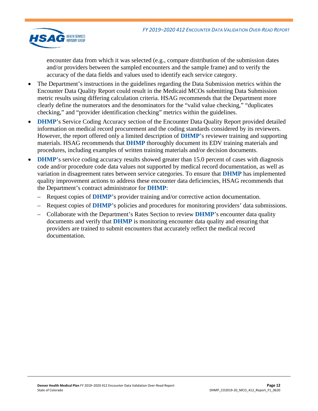

encounter data from which it was selected (e.g., compare distribution of the submission dates and/or providers between the sampled encounters and the sample frame) and to verify the accuracy of the data fields and values used to identify each service category.

- The Department's instructions in the guidelines regarding the Data Submission metrics within the Encounter Data Quality Report could result in the Medicaid MCOs submitting Data Submission metric results using differing calculation criteria. HSAG recommends that the Department more clearly define the numerators and the denominators for the "valid value checking," "duplicates checking," and "provider identification checking" metrics within the guidelines.
- **DHMP**'s Service Coding Accuracy section of the Encounter Data Quality Report provided detailed information on medical record procurement and the coding standards considered by its reviewers. However, the report offered only a limited description of **DHMP**'s reviewer training and supporting materials. HSAG recommends that **DHMP** thoroughly document its EDV training materials and procedures, including examples of written training materials and/or decision documents.
- **DHMP**'s service coding accuracy results showed greater than 15.0 percent of cases with diagnosis code and/or procedure code data values not supported by medical record documentation, as well as variation in disagreement rates between service categories. To ensure that **DHMP** has implemented quality improvement actions to address these encounter data deficiencies, HSAG recommends that the Department's contract administrator for **DHMP**:
	- Request copies of **DHMP**'s provider training and/or corrective action documentation.
	- Request copies of **DHMP**'s policies and procedures for monitoring providers' data submissions.
	- Collaborate with the Department's Rates Section to review **DHMP**'s encounter data quality documents and verify that **DHMP** is monitoring encounter data quality and ensuring that providers are trained to submit encounters that accurately reflect the medical record documentation.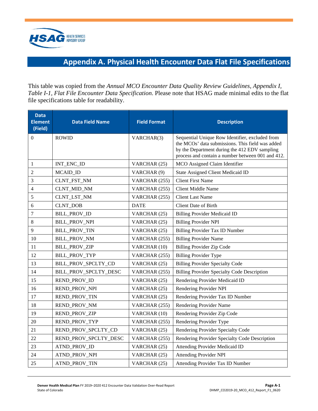<span id="page-14-1"></span>

# **Appendix A. Physical Health Encounter Data Flat File Specifications**

<span id="page-14-0"></span>This table was copied from the *Annual MCO Encounter Data Quality Review Guidelines, Appendix I, Table I-1, Flat File Encounter Data Specification*. Please note that HSAG made minimal edits to the flat file specifications table for readability.

| <b>Data</b><br><b>Element</b><br>(Field) | <b>Data Field Name</b> | <b>Field Format</b> | <b>Description</b>                                                                                                                                                                                        |
|------------------------------------------|------------------------|---------------------|-----------------------------------------------------------------------------------------------------------------------------------------------------------------------------------------------------------|
| $\Omega$                                 | <b>ROWID</b>           | VARCHAR(3)          | Sequential Unique Row Identifier, excluded from<br>the MCOs' data submissions. This field was added<br>by the Department during the 412 EDV sampling<br>process and contain a number between 001 and 412. |
| 1                                        | INT_ENC_ID             | VARCHAR (25)        | MCO Assigned Claim Identifier                                                                                                                                                                             |
| $\overline{c}$                           | MCAID_ID               | VARCHAR (9)         | State Assigned Client Medicaid ID                                                                                                                                                                         |
| 3                                        | CLNT_FST_NM            | VARCHAR (255)       | <b>Client First Name</b>                                                                                                                                                                                  |
| 4                                        | CLNT_MID_NM            | VARCHAR (255)       | <b>Client Middle Name</b>                                                                                                                                                                                 |
| 5                                        | CLNT_LST_NM            | VARCHAR (255)       | <b>Client Last Name</b>                                                                                                                                                                                   |
| 6                                        | <b>CLNT_DOB</b>        | <b>DATE</b>         | <b>Client Date of Birth</b>                                                                                                                                                                               |
| 7                                        | <b>BILL_PROV_ID</b>    | VARCHAR (25)        | <b>Billing Provider Medicaid ID</b>                                                                                                                                                                       |
| 8                                        | <b>BILL_PROV_NPI</b>   | VARCHAR (25)        | <b>Billing Provider NPI</b>                                                                                                                                                                               |
| 9                                        | <b>BILL_PROV_TIN</b>   | VARCHAR (25)        | Billing Provider Tax ID Number                                                                                                                                                                            |
| 10                                       | <b>BILL_PROV_NM</b>    | VARCHAR (255)       | <b>Billing Provider Name</b>                                                                                                                                                                              |
| 11                                       | <b>BILL_PROV_ZIP</b>   | VARCHAR (10)        | Billing Provider Zip Code                                                                                                                                                                                 |
| 12                                       | BILL_PROV_TYP          | VARCHAR (255)       | <b>Billing Provider Type</b>                                                                                                                                                                              |
| 13                                       | BILL_PROV_SPCLTY_CD    | VARCHAR (25)        | <b>Billing Provider Specialty Code</b>                                                                                                                                                                    |
| 14                                       | BILL_PROV_SPCLTY_DESC  | VARCHAR (255)       | Billing Provider Specialty Code Description                                                                                                                                                               |
| 15                                       | REND_PROV_ID           | VARCHAR (25)        | Rendering Provider Medicaid ID                                                                                                                                                                            |
| 16                                       | REND_PROV_NPI          | VARCHAR (25)        | Rendering Provider NPI                                                                                                                                                                                    |
| 17                                       | REND_PROV_TIN          | VARCHAR (25)        | Rendering Provider Tax ID Number                                                                                                                                                                          |
| 18                                       | REND_PROV_NM           | VARCHAR (255)       | Rendering Provider Name                                                                                                                                                                                   |
| 19                                       | <b>REND_PROV_ZIP</b>   | VARCHAR (10)        | Rendering Provider Zip Code                                                                                                                                                                               |
| 20                                       | REND_PROV_TYP          | VARCHAR (255)       | Rendering Provider Type                                                                                                                                                                                   |
| 21                                       | REND_PROV_SPCLTY_CD    | VARCHAR (25)        | Rendering Provider Specialty Code                                                                                                                                                                         |
| 22                                       | REND_PROV_SPCLTY_DESC  | VARCHAR (255)       | Rendering Provider Specialty Code Description                                                                                                                                                             |
| 23                                       | ATND_PROV_ID           | VARCHAR (25)        | Attending Provider Medicaid ID                                                                                                                                                                            |
| 24                                       | ATND_PROV_NPI          | VARCHAR (25)        | <b>Attending Provider NPI</b>                                                                                                                                                                             |
| 25                                       | ATND_PROV_TIN          | VARCHAR (25)        | Attending Provider Tax ID Number                                                                                                                                                                          |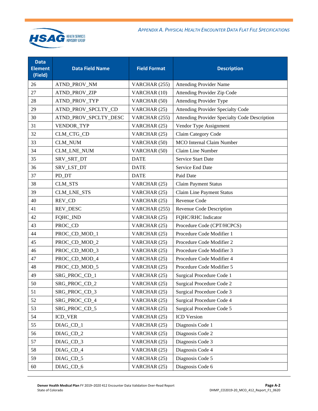

| <b>Data</b><br><b>Element</b><br>(Field) | <b>Data Field Name</b> | <b>Field Format</b> | <b>Description</b>                            |
|------------------------------------------|------------------------|---------------------|-----------------------------------------------|
| 26                                       | ATND_PROV_NM           | VARCHAR (255)       | <b>Attending Provider Name</b>                |
| 27                                       | ATND_PROV_ZIP          | VARCHAR (10)        | Attending Provider Zip Code                   |
| 28                                       | ATND_PROV_TYP          | VARCHAR (50)        | <b>Attending Provider Type</b>                |
| 29                                       | ATND_PROV_SPCLTY_CD    | VARCHAR (25)        | <b>Attending Provider Specialty Code</b>      |
| 30                                       | ATND_PROV_SPCLTY_DESC  | VARCHAR (255)       | Attending Provider Specialty Code Description |
| 31                                       | VENDOR_TYP             | VARCHAR (25)        | Vendor Type Assignment                        |
| 32                                       | CLM_CTG_CD             | VARCHAR (25)        | Claim Category Code                           |
| 33                                       | <b>CLM_NUM</b>         | VARCHAR (50)        | <b>MCO</b> Internal Claim Number              |
| 34                                       | CLM_LNE_NUM            | VARCHAR (50)        | Claim Line Number                             |
| 35                                       | SRV_SRT_DT             | <b>DATE</b>         | Service Start Date                            |
| 36                                       | SRV_LST_DT             | <b>DATE</b>         | Service End Date                              |
| 37                                       | PD_DT                  | <b>DATE</b>         | Paid Date                                     |
| 38                                       | <b>CLM_STS</b>         | VARCHAR (25)        | <b>Claim Payment Status</b>                   |
| 39                                       | <b>CLM_LNE_STS</b>     | VARCHAR (25)        | Claim Line Payment Status                     |
| 40                                       | REV_CD                 | VARCHAR (25)        | Revenue Code                                  |
| 41                                       | REV_DESC               | VARCHAR (255)       | Revenue Code Description                      |
| 42                                       | FQHC_IND               | VARCHAR (25)        | FQHC/RHC Indicator                            |
| 43                                       | PROC_CD                | VARCHAR (25)        | Procedure Code (CPT/HCPCS)                    |
| 44                                       | PROC_CD_MOD_1          | VARCHAR (25)        | Procedure Code Modifier 1                     |
| 45                                       | PROC_CD_MOD_2          | VARCHAR (25)        | Procedure Code Modifier 2                     |
| 46                                       | PROC_CD_MOD_3          | VARCHAR (25)        | Procedure Code Modifier 3                     |
| 47                                       | PROC_CD_MOD_4          | VARCHAR (25)        | Procedure Code Modifier 4                     |
| 48                                       | PROC_CD_MOD_5          | VARCHAR (25)        | Procedure Code Modifier 5                     |
| 49                                       | SRG_PROC_CD_1          | VARCHAR (25)        | Surgical Procedure Code 1                     |
| 50                                       | SRG_PROC_CD_2          | VARCHAR (25)        | Surgical Procedure Code 2                     |
| 51                                       | SRG_PROC_CD_3          | VARCHAR (25)        | Surgical Procedure Code 3                     |
| 52                                       | SRG_PROC_CD_4          | VARCHAR (25)        | Surgical Procedure Code 4                     |
| 53                                       | SRG_PROC_CD_5          | VARCHAR (25)        | Surgical Procedure Code 5                     |
| 54                                       | ICD_VER                | VARCHAR (25)        | ICD Version                                   |
| 55                                       | DIAG_CD_1              | VARCHAR (25)        | Diagnosis Code 1                              |
| 56                                       | DIAG_CD_2              | VARCHAR (25)        | Diagnosis Code 2                              |
| 57                                       | DIAG_CD_3              | VARCHAR (25)        | Diagnosis Code 3                              |
| 58                                       | DIAG_CD_4              | VARCHAR (25)        | Diagnosis Code 4                              |
| 59                                       | DIAG_CD_5              | VARCHAR (25)        | Diagnosis Code 5                              |
| 60                                       | DIAG_CD_6              | VARCHAR (25)        | Diagnosis Code 6                              |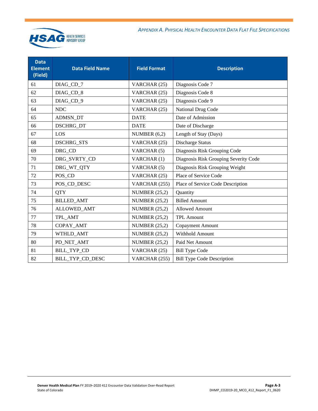

| <b>Data</b><br><b>Element</b><br>(Field) | <b>Data Field Name</b> | <b>Field Format</b>  | <b>Description</b>                    |
|------------------------------------------|------------------------|----------------------|---------------------------------------|
| 61                                       | DIAG_CD_7              | VARCHAR (25)         | Diagnosis Code 7                      |
| 62                                       | DIAG_CD_8              | VARCHAR (25)         | Diagnosis Code 8                      |
| 63                                       | DIAG_CD_9              | VARCHAR (25)         | Diagnosis Code 9                      |
| 64                                       | <b>NDC</b>             | VARCHAR (25)         | National Drug Code                    |
| 65                                       | ADMSN_DT               | <b>DATE</b>          | Date of Admission                     |
| 66                                       | DSCHRG_DT              | <b>DATE</b>          | Date of Discharge                     |
| 67                                       | LOS                    | NUMBER $(6,2)$       | Length of Stay (Days)                 |
| 68                                       | <b>DSCHRG_STS</b>      | VARCHAR (25)         | Discharge Status                      |
| 69                                       | DRG CD                 | VARCHAR (5)          | Diagnosis Risk Grouping Code          |
| 70                                       | DRG_SVRTY_CD           | VARCHAR (1)          | Diagnosis Risk Grouping Severity Code |
| 71                                       | DRG_WT_QTY             | VARCHAR (5)          | Diagnosis Risk Grouping Weight        |
| 72                                       | POS CD                 | VARCHAR (25)         | Place of Service Code                 |
| 73                                       | POS_CD_DESC            | VARCHAR (255)        | Place of Service Code Description     |
| 74                                       | <b>OTY</b>             | NUMBER $(25,2)$      | Quantity                              |
| 75                                       | <b>BILLED_AMT</b>      | NUMBER $(25,2)$      | <b>Billed Amount</b>                  |
| 76                                       | ALLOWED_AMT            | NUMBER $(25,2)$      | <b>Allowed Amount</b>                 |
| 77                                       | TPL_AMT                | NUMBER $(25,2)$      | <b>TPL Amount</b>                     |
| 78                                       | COPAY_AMT              | <b>NUMBER (25,2)</b> | <b>Copayment Amount</b>               |
| 79                                       | WTHLD_AMT              | NUMBER $(25,2)$      | Withhold Amount                       |
| 80                                       | PD_NET_AMT             | <b>NUMBER (25,2)</b> | Paid Net Amount                       |
| 81                                       | <b>BILL_TYP_CD</b>     | VARCHAR (25)         | <b>Bill Type Code</b>                 |
| 82                                       | BILL_TYP_CD_DESC       | VARCHAR (255)        | <b>Bill Type Code Description</b>     |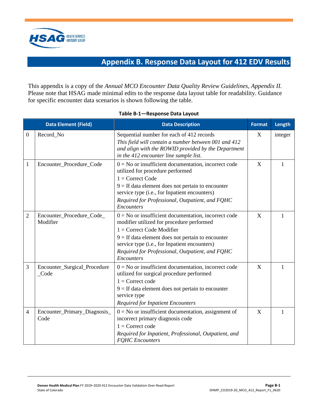<span id="page-17-1"></span>

# **Appendix B. Response Data Layout for 412 EDV Results**

<span id="page-17-0"></span>This appendix is a copy of the *Annual MCO Encounter Data Quality Review Guidelines, Appendix II.*  Please note that HSAG made minimal edits to the response data layout table for readability. Guidance for specific encounter data scenarios is shown following the table.

<span id="page-17-2"></span>

|                  | <b>Data Element (Field)</b>           | <b>Data Description</b>                                                                                                                                                                                                                                                                                     | <b>Format</b> | Length  |
|------------------|---------------------------------------|-------------------------------------------------------------------------------------------------------------------------------------------------------------------------------------------------------------------------------------------------------------------------------------------------------------|---------------|---------|
| $\boldsymbol{0}$ | Record_No                             | Sequential number for each of 412 records<br>This field will contain a number between 001 and 412<br>and align with the ROWID provided by the Department<br>in the 412 encounter line sample list.                                                                                                          | X             | integer |
| $\mathbf{1}$     | Encounter_Procedure_Code              | $0 = No$ or insufficient documentation, incorrect code<br>utilized for procedure performed<br>$1 =$ Correct Code<br>$9 =$ If data element does not pertain to encounter<br>service type (i.e., for Inpatient encounters)<br>Required for Professional, Outpatient, and FQHC<br>Encounters                   | X             | 1       |
| $\overline{2}$   | Encounter_Procedure_Code_<br>Modifier | $0 = No$ or insufficient documentation, incorrect code<br>modifier utilized for procedure performed<br>$1 =$ Correct Code Modifier<br>$9 =$ If data element does not pertain to encounter<br>service type (i.e., for Inpatient encounters)<br>Required for Professional, Outpatient, and FQHC<br>Encounters | $\mathbf{X}$  | 1       |
| 3                | Encounter_Surgical_Procedure<br>Code  | $0 = No$ or insufficient documentation, incorrect code<br>utilized for surgical procedure performed<br>$1 =$ Correct code<br>$9 =$ If data element does not pertain to encounter<br>service type<br><b>Required for Inpatient Encounters</b>                                                                | X             | 1       |
| 4                | Encounter_Primary_Diagnosis_<br>Code  | $0 = No$ or insufficient documentation, assignment of<br>incorrect primary diagnosis code<br>$1 =$ Correct code<br>Required for Inpatient, Professional, Outpatient, and<br><b>FQHC</b> Encounters                                                                                                          | X             | 1       |

#### **Table B-1—Response Data Layout**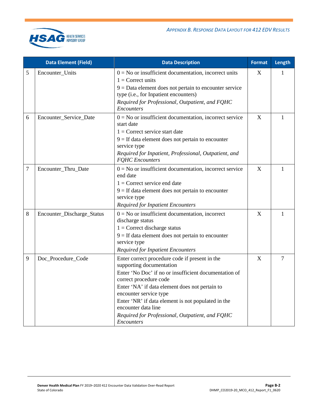

|   | <b>Data Element (Field)</b> | <b>Data Description</b>                                                                                                                                                                                                                                                                                                                                                                        | <b>Format</b> | Length |
|---|-----------------------------|------------------------------------------------------------------------------------------------------------------------------------------------------------------------------------------------------------------------------------------------------------------------------------------------------------------------------------------------------------------------------------------------|---------------|--------|
| 5 | Encounter_Units             | $0 = No$ or insufficient documentation, incorrect units<br>$1 =$ Correct units<br>$9 = Data$ element does not pertain to encounter service<br>type (i.e., for Inpatient encounters)<br>Required for Professional, Outpatient, and FQHC<br><i>Encounters</i>                                                                                                                                    | X             | 1      |
| 6 | Encounter_Service_Date      | $0 = No$ or insufficient documentation, incorrect service<br>start date<br>$1 =$ Correct service start date<br>$9 =$ If data element does not pertain to encounter<br>service type<br>Required for Inpatient, Professional, Outpatient, and<br><b>FOHC</b> Encounters                                                                                                                          | X             | 1      |
| 7 | Encounter_Thru_Date         | $0 = No$ or insufficient documentation, incorrect service<br>end date<br>$1 =$ Correct service end date<br>$9 =$ If data element does not pertain to encounter<br>service type<br><b>Required for Inpatient Encounters</b>                                                                                                                                                                     | $\mathbf X$   | 1      |
| 8 | Encounter_Discharge_Status  | $0 = No$ or insufficient documentation, incorrect<br>discharge status<br>$1 =$ Correct discharge status<br>$9 =$ If data element does not pertain to encounter<br>service type<br><b>Required for Inpatient Encounters</b>                                                                                                                                                                     | X             | 1      |
| 9 | Doc_Procedure_Code          | Enter correct procedure code if present in the<br>supporting documentation<br>Enter 'No Doc' if no or insufficient documentation of<br>correct procedure code<br>Enter 'NA' if data element does not pertain to<br>encounter service type<br>Enter 'NR' if data element is not populated in the<br>encounter data line<br>Required for Professional, Outpatient, and FQHC<br><i>Encounters</i> | X             | 7      |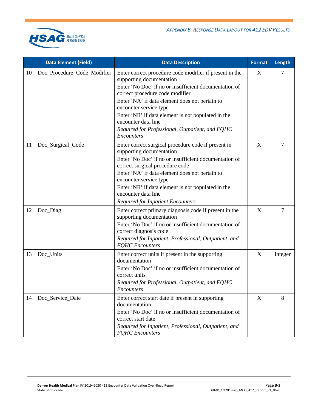

|    | Data Element (Field)        | <b>Data Description</b>                                                                                                                                                                                                                                                                                                                                                                                          | Format | Length         |
|----|-----------------------------|------------------------------------------------------------------------------------------------------------------------------------------------------------------------------------------------------------------------------------------------------------------------------------------------------------------------------------------------------------------------------------------------------------------|--------|----------------|
| 10 | Doc_Procedure_Code_Modifier | Enter correct procedure code modifier if present in the<br>supporting documentation<br>Enter 'No Doc' if no or insufficient documentation of<br>correct procedure code modifier<br>Enter 'NA' if data element does not pertain to<br>encounter service type<br>Enter 'NR' if data element is not populated in the<br>encounter data line<br>Required for Professional, Outpatient, and FQHC<br><b>Encounters</b> | X      | 7              |
| 11 | Doc_Surgical_Code           | Enter correct surgical procedure code if present in<br>supporting documentation<br>Enter 'No Doc' if no or insufficient documentation of<br>correct surgical procedure code<br>Enter 'NA' if data element does not pertain to<br>encounter service type<br>Enter 'NR' if data element is not populated in the<br>encounter data line<br><b>Required for Inpatient Encounters</b>                                 | X      | 7              |
| 12 | Doc_Diag                    | Enter correct primary diagnosis code if present in the<br>supporting documentation<br>Enter 'No Doc' if no or insufficient documentation of<br>correct diagnosis code<br>Required for Inpatient, Professional, Outpatient, and<br><b>FQHC</b> Encounters                                                                                                                                                         | X      | $\overline{7}$ |
| 13 | Doc_Units                   | Enter correct units if present in the supporting<br>documentation<br>Enter 'No Doc' if no or insufficient documentation of<br>correct units<br>Required for Professional, Outpatient, and FQHC<br>Encounters                                                                                                                                                                                                     | X      | integer        |
| 14 | Doc_Service_Date            | Enter correct start date if present in supporting<br>documentation<br>Enter 'No Doc' if no or insufficient documentation of<br>correct start date<br>Required for Inpatient, Professional, Outpatient, and<br><b>FQHC</b> Encounters                                                                                                                                                                             | X      | 8              |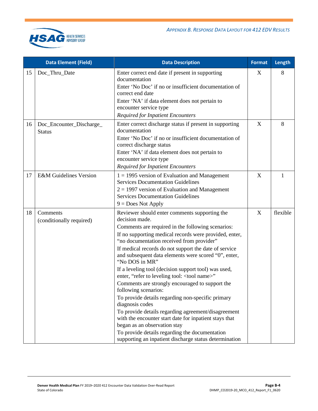

|    | <b>Data Element (Field)</b>               | <b>Data Description</b>                                                                                                                                                                                                                                                                                                                                                                                                                                                                                                                                                                                                                                                                                                                                                                                                                                                                 | <b>Format</b> | Length   |
|----|-------------------------------------------|-----------------------------------------------------------------------------------------------------------------------------------------------------------------------------------------------------------------------------------------------------------------------------------------------------------------------------------------------------------------------------------------------------------------------------------------------------------------------------------------------------------------------------------------------------------------------------------------------------------------------------------------------------------------------------------------------------------------------------------------------------------------------------------------------------------------------------------------------------------------------------------------|---------------|----------|
| 15 | Doc_Thru_Date                             | Enter correct end date if present in supporting<br>documentation<br>Enter 'No Doc' if no or insufficient documentation of<br>correct end date<br>Enter 'NA' if data element does not pertain to<br>encounter service type<br><b>Required for Inpatient Encounters</b>                                                                                                                                                                                                                                                                                                                                                                                                                                                                                                                                                                                                                   | X             | 8        |
| 16 | Doc_Encounter_Discharge_<br><b>Status</b> | Enter correct discharge status if present in supporting<br>documentation<br>Enter 'No Doc' if no or insufficient documentation of<br>correct discharge status<br>Enter 'NA' if data element does not pertain to<br>encounter service type<br><b>Required for Inpatient Encounters</b>                                                                                                                                                                                                                                                                                                                                                                                                                                                                                                                                                                                                   | X             | 8        |
| 17 | <b>E&amp;M</b> Guidelines Version         | $1 = 1995$ version of Evaluation and Management<br><b>Services Documentation Guidelines</b><br>$2 = 1997$ version of Evaluation and Management<br><b>Services Documentation Guidelines</b><br>$9 = Does Not Apply$                                                                                                                                                                                                                                                                                                                                                                                                                                                                                                                                                                                                                                                                      | X             | 1        |
| 18 | Comments<br>(conditionally required)      | Reviewer should enter comments supporting the<br>decision made.<br>Comments are required in the following scenarios:<br>If no supporting medical records were provided, enter,<br>"no documentation received from provider"<br>If medical records do not support the date of service<br>and subsequent data elements were scored "0", enter,<br>"No DOS in MR"<br>If a leveling tool (decision support tool) was used,<br>enter, "refer to leveling tool: < tool name>"<br>Comments are strongly encouraged to support the<br>following scenarios:<br>To provide details regarding non-specific primary<br>diagnosis codes<br>To provide details regarding agreement/disagreement<br>with the encounter start date for inpatient stays that<br>began as an observation stay<br>To provide details regarding the documentation<br>supporting an inpatient discharge status determination | X             | flexible |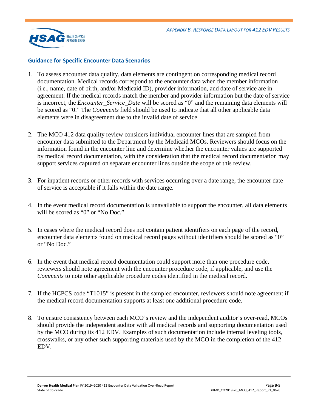

#### **Guidance for Specific Encounter Data Scenarios**

- 1. To assess encounter data quality, data elements are contingent on corresponding medical record documentation. Medical records correspond to the encounter data when the member information (i.e., name, date of birth, and/or Medicaid ID), provider information, and date of service are in agreement. If the medical records match the member and provider information but the date of service is incorrect, the *Encounter\_Service\_Date* will be scored as "0" and the remaining data elements will be scored as "0." The *Comments* field should be used to indicate that all other applicable data elements were in disagreement due to the invalid date of service.
- 2. The MCO 412 data quality review considers individual encounter lines that are sampled from encounter data submitted to the Department by the Medicaid MCOs. Reviewers should focus on the information found in the encounter line and determine whether the encounter values are supported by medical record documentation, with the consideration that the medical record documentation may support services captured on separate encounter lines outside the scope of this review.
- 3. For inpatient records or other records with services occurring over a date range, the encounter date of service is acceptable if it falls within the date range.
- 4. In the event medical record documentation is unavailable to support the encounter, all data elements will be scored as "0" or "No Doc."
- 5. In cases where the medical record does not contain patient identifiers on each page of the record, encounter data elements found on medical record pages without identifiers should be scored as "0" or "No Doc."
- 6. In the event that medical record documentation could support more than one procedure code, reviewers should note agreement with the encounter procedure code, if applicable, and use the *Comments* to note other applicable procedure codes identified in the medical record.
- 7. If the HCPCS code "T1015" is present in the sampled encounter, reviewers should note agreement if the medical record documentation supports at least one additional procedure code.
- 8. To ensure consistency between each MCO's review and the independent auditor's over-read, MCOs should provide the independent auditor with all medical records and supporting documentation used by the MCO during its 412 EDV. Examples of such documentation include internal leveling tools, crosswalks, or any other such supporting materials used by the MCO in the completion of the 412 EDV.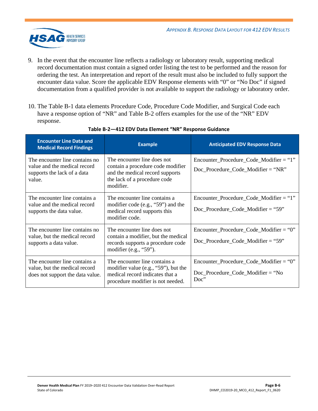

- 9. In the event that the encounter line reflects a radiology or laboratory result, supporting medical record documentation must contain a signed order listing the test to be performed and the reason for ordering the test. An interpretation and report of the result must also be included to fully support the encounter data value. Score the applicable EDV Response elements with "0" or "No Doc" if signed documentation from a qualified provider is not available to support the radiology or laboratory order.
- 10. The [Table B-1](#page-17-2) data elements Procedure Code, Procedure Code Modifier, and Surgical Code each have a response option of "NR" and [Table B-2](#page-22-0) offers examples for the use of the "NR" EDV response.

<span id="page-22-0"></span>

| <b>Encounter Line Data and</b><br><b>Medical Record Findings</b>                                        | <b>Example</b>                                                                                                                                    | <b>Anticipated EDV Response Data</b>                                                                   |
|---------------------------------------------------------------------------------------------------------|---------------------------------------------------------------------------------------------------------------------------------------------------|--------------------------------------------------------------------------------------------------------|
| The encounter line contains no<br>value and the medical record<br>supports the lack of a data<br>value. | The encounter line does not<br>contain a procedure code modifier<br>and the medical record supports<br>the lack of a procedure code<br>modifier.  | $Encoder\_Proceedure\_Code\_Modification = "1"$<br>$Doc\_Proceedure\_Code\_Modification = "NR"$        |
| The encounter line contains a<br>value and the medical record<br>supports the data value.               | The encounter line contains a<br>modifier code $(e.g., "59")$ and the<br>medical record supports this<br>modifier code.                           | $Encoder\_procedure\_Code\_Modern = "1"$<br>$Doc\_Proceedure\_Code\_Modification = "59"$               |
| The encounter line contains no<br>value, but the medical record<br>supports a data value.               | The encounter line does not<br>contain a modifier, but the medical<br>records supports a procedure code<br>modifier (e.g., "59").                 | $Encoder\_Proceedure\_Code\_Modern = "0"$<br>$Doc\_Proceedure\_Code\_Modification = "59"$              |
| The encounter line contains a<br>value, but the medical record<br>does not support the data value.      | The encounter line contains a<br>modifier value (e.g., " $59$ "), but the<br>medical record indicates that a<br>procedure modifier is not needed. | $Encoder\_Proceedure\_Code\_Modification = "0"$<br>$Doc\_Proceedure\_Code\_Modification = "No$<br>Doc" |

#### **Table B-2—412 EDV Data Element "NR" Response Guidance**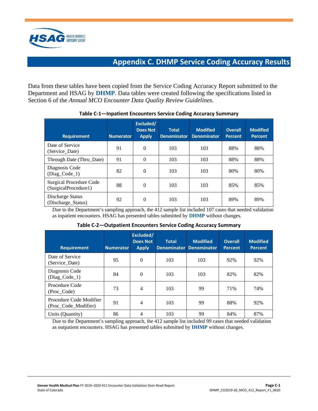<span id="page-23-1"></span>

# **Appendix C. DHMP Service Coding Accuracy Results**

<span id="page-23-0"></span>Data from these tables have been copied from the Service Coding Accuracy Report submitted to the Department and HSAG by **DHMP**. Data tables were created following the specifications listed in Section 6 of the *Annual MCO Encounter Data Quality Review Guidelines*.

| <b>Requirement</b>                                     | <b>Numerator</b> | Excluded/<br><b>Does Not</b><br><b>Apply</b> | <b>Total</b><br><b>Denominator</b> | <b>Modified</b><br><b>Denominator</b> | <b>Overall</b><br><b>Percent</b> | <b>Modified</b><br><b>Percent</b> |
|--------------------------------------------------------|------------------|----------------------------------------------|------------------------------------|---------------------------------------|----------------------------------|-----------------------------------|
| Date of Service<br>(Service Date)                      | 91               | $\theta$                                     | 103                                | 103                                   | 88%                              | 88%                               |
| Through Date (Thru_Date)                               | 91               | $\theta$                                     | 103                                | 103                                   | 88%                              | 88%                               |
| Diagnosis Code<br>$(Diag\_Code_1)$                     | 82               | $\theta$                                     | 103                                | 103                                   | 80%                              | 80%                               |
| <b>Surgical Procedure Code</b><br>(SurgicalProcedure1) | 88               | 0                                            | 103                                | 103                                   | 85%                              | 85%                               |
| Discharge Status<br>(Discharge_Status)                 | 92               | $\theta$                                     | 103                                | 103                                   | 89%                              | 89%                               |

#### **Table C-1—Inpatient Encounters Service Coding Accuracy Summary**

Due to the Department's sampling approach, the 412 sample list included 107 cases that needed validation as inpatient encounters. HSAG has presented tables submitted by **DHMP** without changes.

|  |  | Table C-2-Outpatient Encounters Service Coding Accuracy Summary |  |
|--|--|-----------------------------------------------------------------|--|
|  |  |                                                                 |  |

| <b>Requirement</b>                              | <b>Numerator</b> | Excluded/<br><b>Does Not</b><br><b>Apply</b> | <b>Total</b> | <b>Modified</b><br>Denominator Denominator | <b>Overall</b><br><b>Percent</b> | <b>Modified</b><br><b>Percent</b> |
|-------------------------------------------------|------------------|----------------------------------------------|--------------|--------------------------------------------|----------------------------------|-----------------------------------|
| Date of Service<br>(Service_Date)               | 95               | $\Omega$                                     | 103          | 103                                        | 92%                              | 92%                               |
| Diagnosis Code<br>$(Diag\_Code_1)$              | 84               | $\Omega$                                     | 103          | 103                                        | 82%                              | 82%                               |
| Procedure Code<br>(Proc Code)                   | 73               | 4                                            | 103          | 99                                         | 71%                              | 74%                               |
| Procedure Code Modifier<br>(Proc_Code_Modifier) | 91               | 4                                            | 103          | 99                                         | 88%                              | 92%                               |
| Units (Quantity)                                | 86               | 4                                            | 103          | 99                                         | 84%                              | 87%                               |

Due to the Department's sampling approach, the 412 sample list included 99 cases that needed validation as outpatient encounters. HSAG has presented tables submitted by **DHMP** without changes.